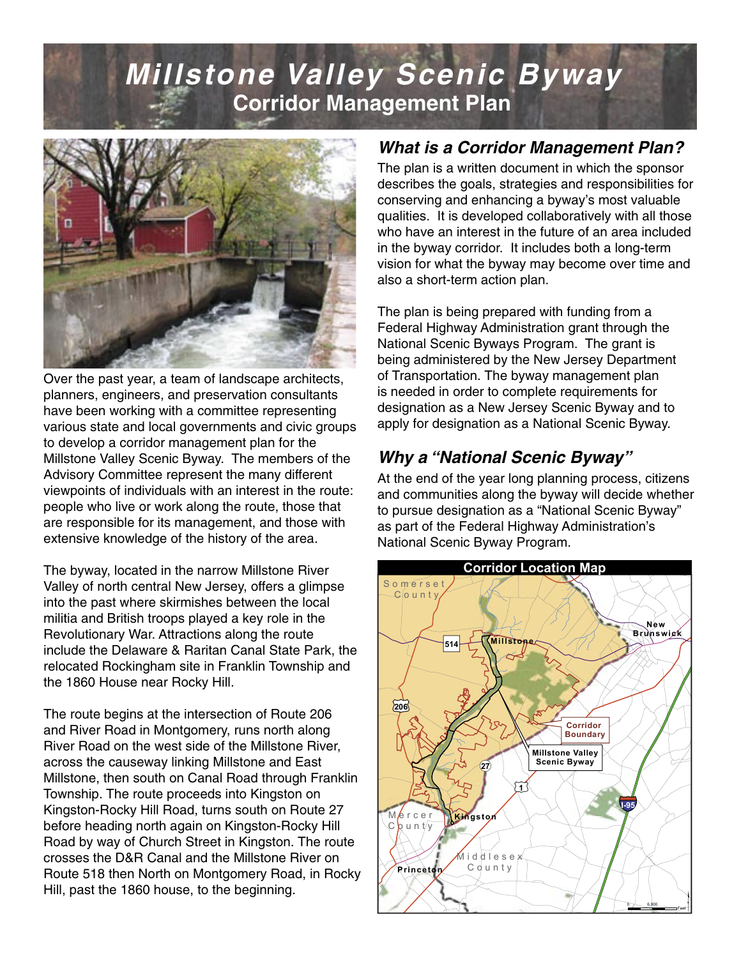# **Millstone Valley Scenic Byway Corridor Management Plan**



Over the past year, a team of landscape architects, planners, engineers, and preservation consultants have been working with a committee representing various state and local governments and civic groups to develop a corridor management plan for the Millstone Valley Scenic Byway. The members of the Advisory Committee represent the many different viewpoints of individuals with an interest in the route: people who live or work along the route, those that are responsible for its management, and those with extensive knowledge of the history of the area.

The byway, located in the narrow Millstone River Valley of north central New Jersey, offers a glimpse into the past where skirmishes between the local militia and British troops played a key role in the Revolutionary War. Attractions along the route include the Delaware & Raritan Canal State Park, the relocated Rockingham site in Franklin Township and the 1860 House near Rocky Hill.

The route begins at the intersection of Route 206 and River Road in Montgomery, runs north along River Road on the west side of the Millstone River, across the causeway linking Millstone and East Millstone, then south on Canal Road through Franklin Township. The route proceeds into Kingston on Kingston-Rocky Hill Road, turns south on Route 27 before heading north again on Kingston-Rocky Hill Road by way of Church Street in Kingston. The route crosses the D&R Canal and the Millstone River on Route 518 then North on Montgomery Road, in Rocky Hill, past the 1860 house, to the beginning.

## **What is a Corridor Management Plan?**

The plan is a written document in which the sponsor describes the goals, strategies and responsibilities for conserving and enhancing a byway's most valuable qualities. It is developed collaboratively with all those who have an interest in the future of an area included in the byway corridor. It includes both a long-term vision for what the byway may become over time and also a short-term action plan.

The plan is being prepared with funding from a Federal Highway Administration grant through the National Scenic Byways Program. The grant is being administered by the New Jersey Department of Transportation. The byway management plan is needed in order to complete requirements for designation as a New Jersey Scenic Byway and to apply for designation as a National Scenic Byway.

## **Why a "National Scenic Byway"**

At the end of the year long planning process, citizens and communities along the byway will decide whether to pursue designation as a "National Scenic Byway" as part of the Federal Highway Administration's National Scenic Byway Program. £¤**287**

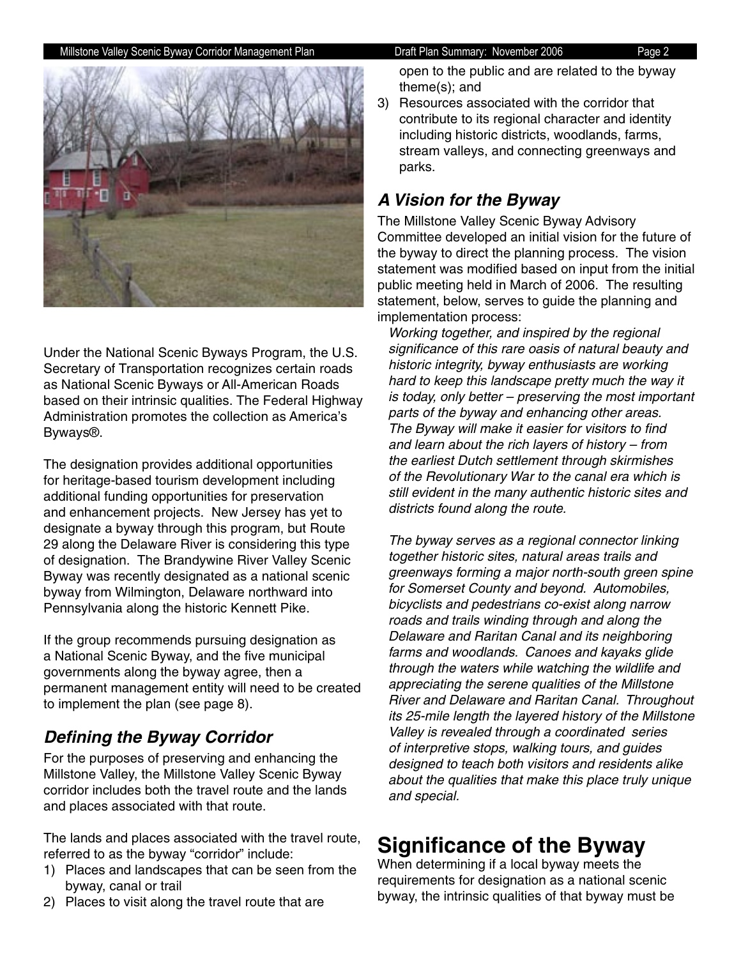

Under the National Scenic Byways Program, the U.S. Secretary of Transportation recognizes certain roads as National Scenic Byways or All-American Roads based on their intrinsic qualities. The Federal Highway Administration promotes the collection as America's Byways®.

The designation provides additional opportunities for heritage-based tourism development including additional funding opportunities for preservation and enhancement projects. New Jersey has yet to designate a byway through this program, but Route 29 along the Delaware River is considering this type of designation. The Brandywine River Valley Scenic Byway was recently designated as a national scenic byway from Wilmington, Delaware northward into Pennsylvania along the historic Kennett Pike.

If the group recommends pursuing designation as a National Scenic Byway, and the five municipal governments along the byway agree, then a permanent management entity will need to be created to implement the plan (see page 8).

## **Defining the Byway Corridor**

For the purposes of preserving and enhancing the Millstone Valley, the Millstone Valley Scenic Byway corridor includes both the travel route and the lands and places associated with that route.

The lands and places associated with the travel route, referred to as the byway "corridor" include:

- 1) Places and landscapes that can be seen from the byway, canal or trail
- 2) Places to visit along the travel route that are

open to the public and are related to the byway theme(s); and

3) Resources associated with the corridor that contribute to its regional character and identity including historic districts, woodlands, farms, stream valleys, and connecting greenways and parks.

## **A Vision for the Byway**

The Millstone Valley Scenic Byway Advisory Committee developed an initial vision for the future of the byway to direct the planning process. The vision statement was modified based on input from the initial public meeting held in March of 2006. The resulting statement, below, serves to guide the planning and implementation process:

Working together, and inspired by the regional significance of this rare oasis of natural beauty and historic integrity, byway enthusiasts are working hard to keep this landscape pretty much the way it is today, only better – preserving the most important parts of the byway and enhancing other areas. The Byway will make it easier for visitors to find and learn about the rich layers of history – from the earliest Dutch settlement through skirmishes of the Revolutionary War to the canal era which is still evident in the many authentic historic sites and districts found along the route.

The byway serves as a regional connector linking together historic sites, natural areas trails and greenways forming a major north-south green spine for Somerset County and beyond. Automobiles, bicyclists and pedestrians co-exist along narrow roads and trails winding through and along the Delaware and Raritan Canal and its neighboring farms and woodlands. Canoes and kayaks glide through the waters while watching the wildlife and appreciating the serene qualities of the Millstone River and Delaware and Raritan Canal. Throughout its 25-mile length the layered history of the Millstone Valley is revealed through a coordinated series of interpretive stops, walking tours, and guides designed to teach both visitors and residents alike about the qualities that make this place truly unique and special.

## **Significance of the Byway**

When determining if a local byway meets the requirements for designation as a national scenic byway, the intrinsic qualities of that byway must be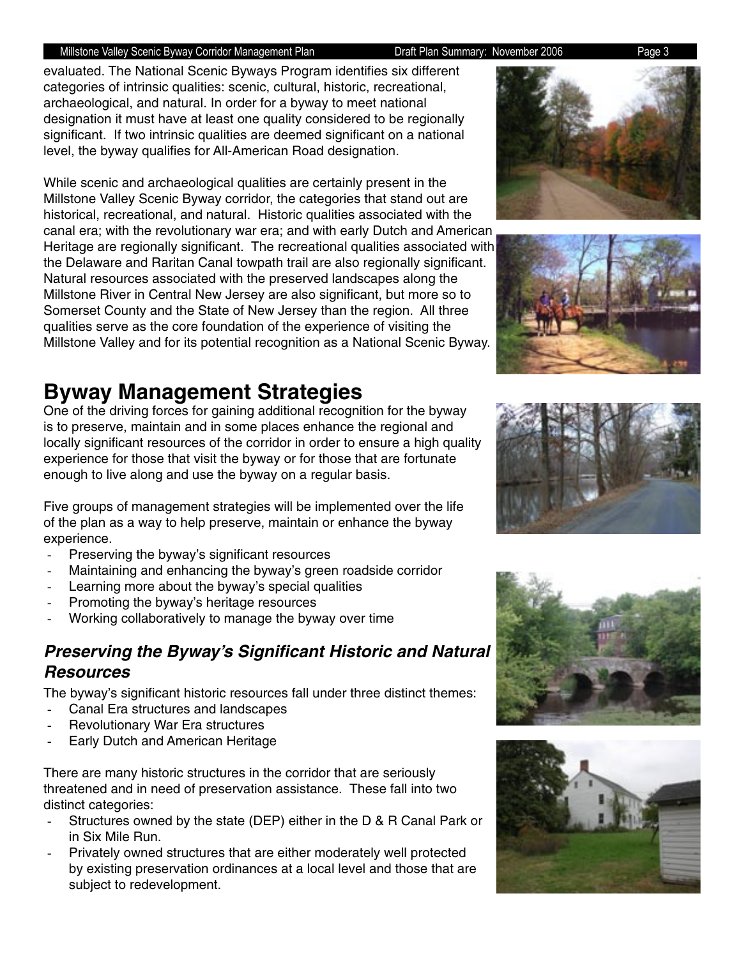evaluated. The National Scenic Byways Program identifies six different categories of intrinsic qualities: scenic, cultural, historic, recreational, archaeological, and natural. In order for a byway to meet national designation it must have at least one quality considered to be regionally significant. If two intrinsic qualities are deemed significant on a national level, the byway qualifies for All-American Road designation.

While scenic and archaeological qualities are certainly present in the Millstone Valley Scenic Byway corridor, the categories that stand out are historical, recreational, and natural. Historic qualities associated with the canal era; with the revolutionary war era; and with early Dutch and American Heritage are regionally significant. The recreational qualities associated with the Delaware and Raritan Canal towpath trail are also regionally significant. Natural resources associated with the preserved landscapes along the Millstone River in Central New Jersey are also significant, but more so to Somerset County and the State of New Jersey than the region. All three qualities serve as the core foundation of the experience of visiting the Millstone Valley and for its potential recognition as a National Scenic Byway.

## **Byway Management Strategies**

One of the driving forces for gaining additional recognition for the byway is to preserve, maintain and in some places enhance the regional and locally significant resources of the corridor in order to ensure a high quality experience for those that visit the byway or for those that are fortunate enough to live along and use the byway on a regular basis.

Five groups of management strategies will be implemented over the life of the plan as a way to help preserve, maintain or enhance the byway experience.

- Preserving the byway's significant resources
- Maintaining and enhancing the byway's green roadside corridor
- Learning more about the byway's special qualities
- Promoting the byway's heritage resources
- Working collaboratively to manage the byway over time

## **Preserving the Byway's Significant Historic and Natural Resources**

The byway's significant historic resources fall under three distinct themes:

- Canal Era structures and landscapes
- Revolutionary War Era structures
- Early Dutch and American Heritage

There are many historic structures in the corridor that are seriously threatened and in need of preservation assistance. These fall into two distinct categories:

- Structures owned by the state (DEP) either in the D & R Canal Park or in Six Mile Run.
- Privately owned structures that are either moderately well protected by existing preservation ordinances at a local level and those that are subject to redevelopment.









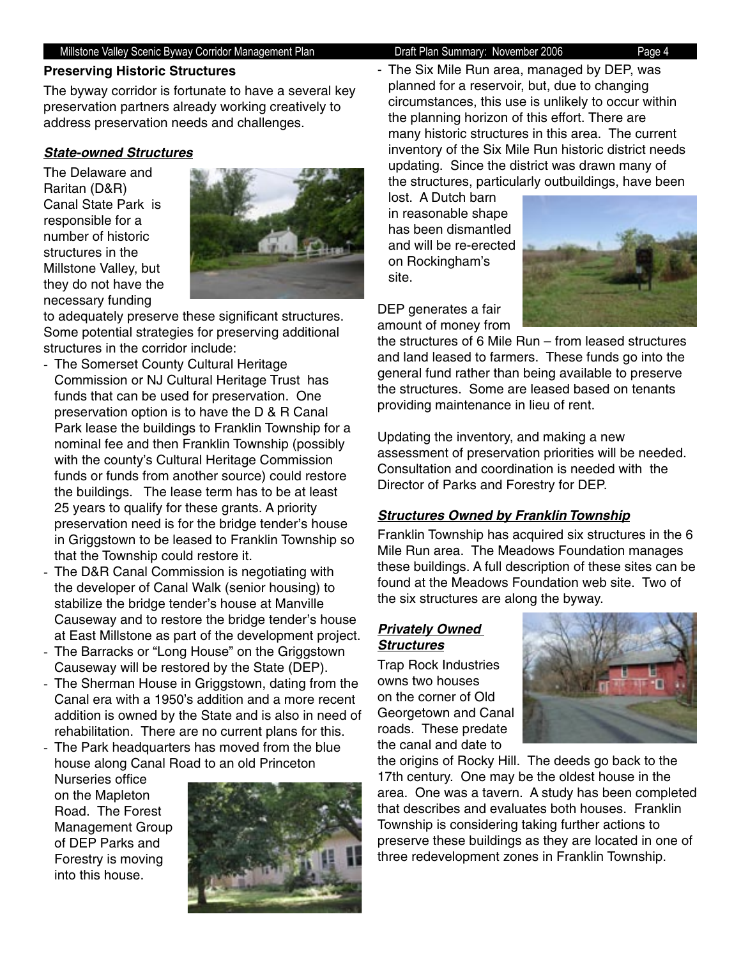#### **Preserving Historic Structures**

The byway corridor is fortunate to have a several key preservation partners already working creatively to address preservation needs and challenges.

### **State-owned Structures**

The Delaware and Raritan (D&R) Canal State Park is responsible for a number of historic structures in the Millstone Valley, but they do not have the necessary funding



to adequately preserve these significant structures. Some potential strategies for preserving additional structures in the corridor include:

- The Somerset County Cultural Heritage Commission or NJ Cultural Heritage Trust has funds that can be used for preservation. One preservation option is to have the D & R Canal Park lease the buildings to Franklin Township for a nominal fee and then Franklin Township (possibly with the county's Cultural Heritage Commission funds or funds from another source) could restore the buildings. The lease term has to be at least 25 years to qualify for these grants. A priority preservation need is for the bridge tender's house in Griggstown to be leased to Franklin Township so that the Township could restore it.
- The D&R Canal Commission is negotiating with the developer of Canal Walk (senior housing) to stabilize the bridge tender's house at Manville Causeway and to restore the bridge tender's house at East Millstone as part of the development project.
- The Barracks or "Long House" on the Griggstown Causeway will be restored by the State (DEP).
- The Sherman House in Griggstown, dating from the Canal era with a 1950's addition and a more recent addition is owned by the State and is also in need of rehabilitation. There are no current plans for this.
- The Park headquarters has moved from the blue house along Canal Road to an old Princeton

Nurseries office on the Mapleton Road. The Forest Management Group of DEP Parks and Forestry is moving into this house.



- The Six Mile Run area, managed by DEP, was planned for a reservoir, but, due to changing circumstances, this use is unlikely to occur within the planning horizon of this effort. There are many historic structures in this area. The current inventory of the Six Mile Run historic district needs updating. Since the district was drawn many of the structures, particularly outbuildings, have been

lost. A Dutch barn in reasonable shape has been dismantled and will be re-erected on Rockingham's site.



DEP generates a fair amount of money from

the structures of 6 Mile Run – from leased structures and land leased to farmers. These funds go into the general fund rather than being available to preserve the structures. Some are leased based on tenants providing maintenance in lieu of rent.

Updating the inventory, and making a new assessment of preservation priorities will be needed. Consultation and coordination is needed with the Director of Parks and Forestry for DEP.

### **Structures Owned by Franklin Township**

Franklin Township has acquired six structures in the 6 Mile Run area. The Meadows Foundation manages these buildings. A full description of these sites can be found at the Meadows Foundation web site. Two of the six structures are along the byway.

### **Privately Owned Structures**

Trap Rock Industries owns two houses on the corner of Old Georgetown and Canal roads. These predate the canal and date to



the origins of Rocky Hill. The deeds go back to the 17th century. One may be the oldest house in the area. One was a tavern. A study has been completed that describes and evaluates both houses. Franklin Township is considering taking further actions to preserve these buildings as they are located in one of three redevelopment zones in Franklin Township.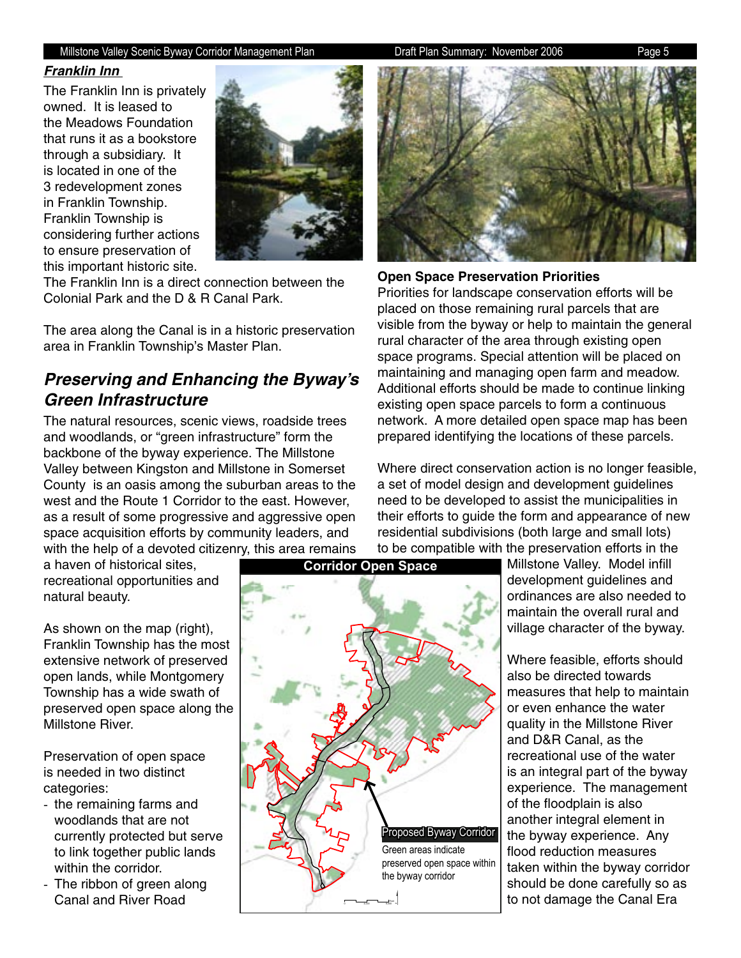#### **Franklin Inn**

The Franklin Inn is privately owned. It is leased to the Meadows Foundation that runs it as a bookstore through a subsidiary. It is located in one of the 3 redevelopment zones in Franklin Township. Franklin Township is considering further actions to ensure preservation of this important historic site.



The Franklin Inn is a direct connection between the Colonial Park and the D & R Canal Park.

The area along the Canal is in a historic preservation area in Franklin Township's Master Plan.

## **Preserving and Enhancing the Byway's Green Infrastructure**

The natural resources, scenic views, roadside trees and woodlands, or "green infrastructure" form the backbone of the byway experience. The Millstone Valley between Kingston and Millstone in Somerset County is an oasis among the suburban areas to the west and the Route 1 Corridor to the east. However, as a result of some progressive and aggressive open space acquisition efforts by community leaders, and with the help of a devoted citizenry, this area remains

a haven of historical sites, recreational opportunities and natural beauty.

As shown on the map (right), Franklin Township has the most extensive network of preserved open lands, while Montgomery Township has a wide swath of preserved open space along the Millstone River.

Preservation of open space is needed in two distinct categories:

- the remaining farms and woodlands that are not currently protected but serve to link together public lands within the corridor.
- The ribbon of green along Canal and River Road



**Corridor Open Space**



**Open Space Preservation Priorities**

Priorities for landscape conservation efforts will be placed on those remaining rural parcels that are visible from the byway or help to maintain the general rural character of the area through existing open space programs. Special attention will be placed on maintaining and managing open farm and meadow. Additional efforts should be made to continue linking existing open space parcels to form a continuous network. A more detailed open space map has been prepared identifying the locations of these parcels.

Where direct conservation action is no longer feasible, a set of model design and development guidelines need to be developed to assist the municipalities in their efforts to guide the form and appearance of new residential subdivisions (both large and small lots) to be compatible with the preservation efforts in the

Millstone Valley. Model infill development guidelines and ordinances are also needed to maintain the overall rural and village character of the byway.

Where feasible, efforts should also be directed towards measures that help to maintain or even enhance the water quality in the Millstone River and D&R Canal, as the recreational use of the water is an integral part of the byway experience. The management of the floodplain is also another integral element in the byway experience. Any flood reduction measures taken within the byway corridor should be done carefully so as to not damage the Canal Era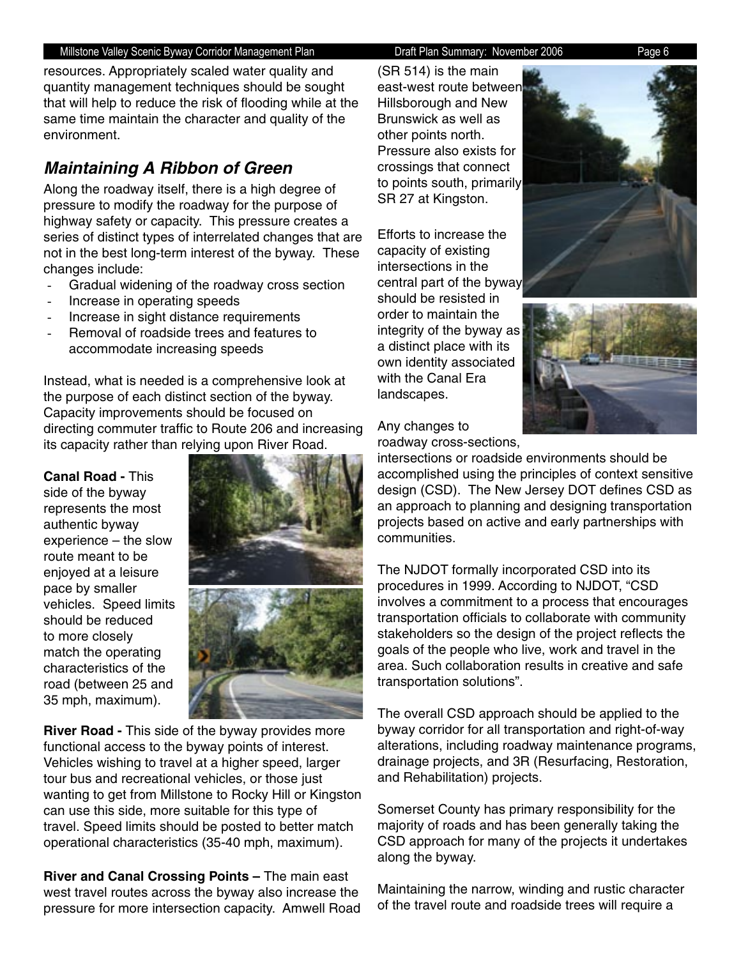resources. Appropriately scaled water quality and quantity management techniques should be sought that will help to reduce the risk of flooding while at the same time maintain the character and quality of the environment.

## **Maintaining A Ribbon of Green**

Along the roadway itself, there is a high degree of pressure to modify the roadway for the purpose of highway safety or capacity. This pressure creates a series of distinct types of interrelated changes that are not in the best long-term interest of the byway. These changes include:

- Gradual widening of the roadway cross section
- Increase in operating speeds
- Increase in sight distance requirements
- Removal of roadside trees and features to accommodate increasing speeds

Instead, what is needed is a comprehensive look at the purpose of each distinct section of the byway. Capacity improvements should be focused on directing commuter traffic to Route 206 and increasing its capacity rather than relying upon River Road.

#### **Canal Road -** This

side of the byway represents the most authentic byway experience – the slow route meant to be enjoyed at a leisure pace by smaller vehicles. Speed limits should be reduced to more closely match the operating characteristics of the road (between 25 and 35 mph, maximum).



**River Road -** This side of the byway provides more functional access to the byway points of interest. Vehicles wishing to travel at a higher speed, larger tour bus and recreational vehicles, or those just wanting to get from Millstone to Rocky Hill or Kingston can use this side, more suitable for this type of travel. Speed limits should be posted to better match operational characteristics (35-40 mph, maximum).

**River and Canal Crossing Points –** The main east west travel routes across the byway also increase the pressure for more intersection capacity. Amwell Road

(SR 514) is the main east-west route betwee Hillsborough and New Brunswick as well as other points north. Pressure also exists for crossings that connect to points south, primarily SR 27 at Kingston.

Efforts to increase the capacity of existing intersections in the central part of the byway should be resisted in order to maintain the integrity of the byway as a distinct place with its own identity associated with the Canal Era landscapes.





Any changes to roadway cross-sections,

intersections or roadside environments should be accomplished using the principles of context sensitive design (CSD). The New Jersey DOT defines CSD as an approach to planning and designing transportation projects based on active and early partnerships with communities.

The NJDOT formally incorporated CSD into its procedures in 1999. According to NJDOT, "CSD involves a commitment to a process that encourages transportation officials to collaborate with community stakeholders so the design of the project reflects the goals of the people who live, work and travel in the area. Such collaboration results in creative and safe transportation solutions".

The overall CSD approach should be applied to the byway corridor for all transportation and right-of-way alterations, including roadway maintenance programs, drainage projects, and 3R (Resurfacing, Restoration, and Rehabilitation) projects.

Somerset County has primary responsibility for the majority of roads and has been generally taking the CSD approach for many of the projects it undertakes along the byway.

Maintaining the narrow, winding and rustic character of the travel route and roadside trees will require a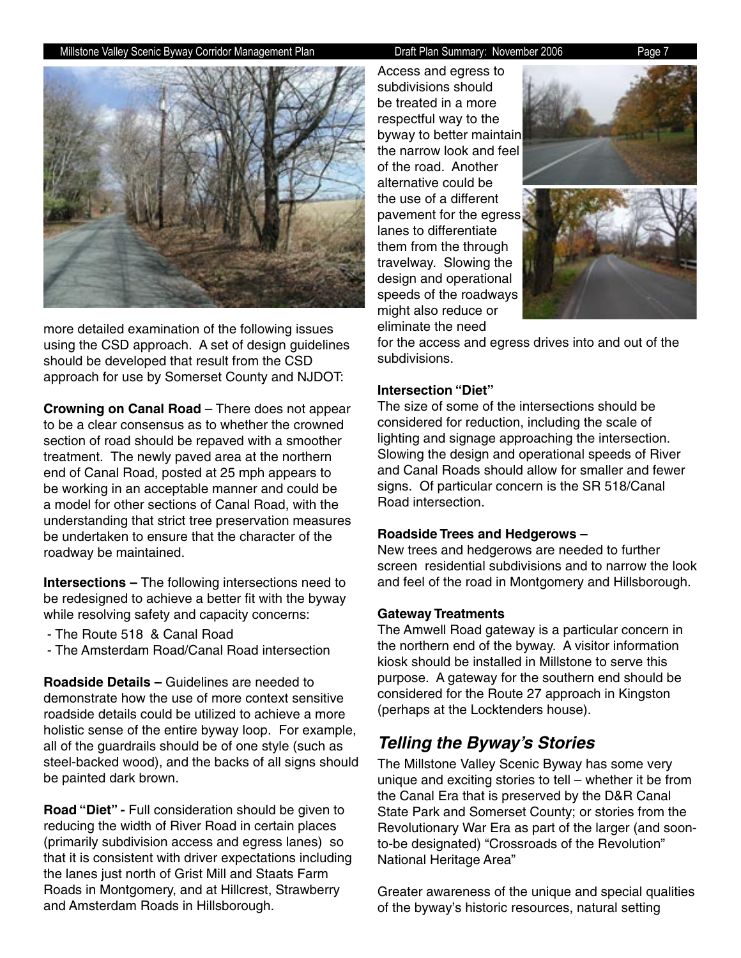

more detailed examination of the following issues using the CSD approach. A set of design guidelines should be developed that result from the CSD approach for use by Somerset County and NJDOT:

**Crowning on Canal Road** – There does not appear to be a clear consensus as to whether the crowned section of road should be repaved with a smoother treatment. The newly paved area at the northern end of Canal Road, posted at 25 mph appears to be working in an acceptable manner and could be a model for other sections of Canal Road, with the understanding that strict tree preservation measures be undertaken to ensure that the character of the roadway be maintained.

**Intersections –** The following intersections need to be redesigned to achieve a better fit with the byway while resolving safety and capacity concerns:

- The Route 518 & Canal Road
- The Amsterdam Road/Canal Road intersection

**Roadside Details –** Guidelines are needed to demonstrate how the use of more context sensitive roadside details could be utilized to achieve a more holistic sense of the entire byway loop. For example, all of the guardrails should be of one style (such as steel-backed wood), and the backs of all signs should be painted dark brown.

**Road "Diet" -** Full consideration should be given to reducing the width of River Road in certain places (primarily subdivision access and egress lanes) so that it is consistent with driver expectations including the lanes just north of Grist Mill and Staats Farm Roads in Montgomery, and at Hillcrest, Strawberry and Amsterdam Roads in Hillsborough.

Access and egress to subdivisions should be treated in a more respectful way to the byway to better maintain the narrow look and feel of the road. Another alternative could be the use of a different pavement for the egress lanes to differentiate them from the through travelway. Slowing the design and operational speeds of the roadways might also reduce or eliminate the need



for the access and egress drives into and out of the subdivisions.

#### **Intersection "Diet"**

The size of some of the intersections should be considered for reduction, including the scale of lighting and signage approaching the intersection. Slowing the design and operational speeds of River and Canal Roads should allow for smaller and fewer signs. Of particular concern is the SR 518/Canal Road intersection.

#### **Roadside Trees and Hedgerows –**

New trees and hedgerows are needed to further screen residential subdivisions and to narrow the look and feel of the road in Montgomery and Hillsborough.

#### **Gateway Treatments**

The Amwell Road gateway is a particular concern in the northern end of the byway. A visitor information kiosk should be installed in Millstone to serve this purpose. A gateway for the southern end should be considered for the Route 27 approach in Kingston (perhaps at the Locktenders house).

### **Telling the Byway's Stories**

The Millstone Valley Scenic Byway has some very unique and exciting stories to tell – whether it be from the Canal Era that is preserved by the D&R Canal State Park and Somerset County; or stories from the Revolutionary War Era as part of the larger (and soonto-be designated) "Crossroads of the Revolution" National Heritage Area"

Greater awareness of the unique and special qualities of the byway's historic resources, natural setting